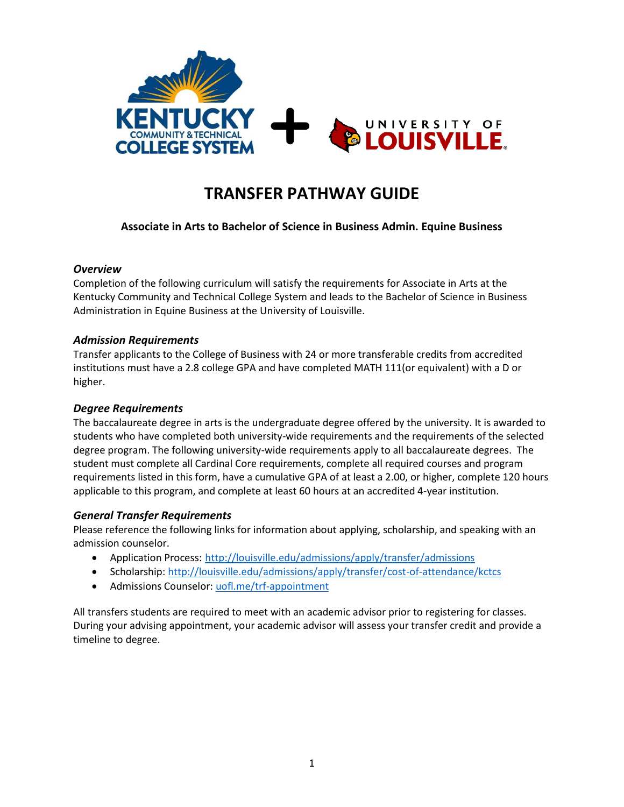

# **TRANSFER PATHWAY GUIDE**

# **Associate in Arts to Bachelor of Science in Business Admin. Equine Business**

#### *Overview*

Completion of the following curriculum will satisfy the requirements for Associate in Arts at the Kentucky Community and Technical College System and leads to the Bachelor of Science in Business Administration in Equine Business at the University of Louisville.

#### *Admission Requirements*

Transfer applicants to the College of Business with 24 or more transferable credits from accredited institutions must have a 2.8 college GPA and have completed MATH 111(or equivalent) with a D or higher.

### *Degree Requirements*

The baccalaureate degree in arts is the undergraduate degree offered by the university. It is awarded to students who have completed both university-wide requirements and the requirements of the selected degree program. The following university-wide requirements apply to all baccalaureate degrees. The student must complete all Cardinal Core requirements, complete all required courses and program requirements listed in this form, have a cumulative GPA of at least a 2.00, or higher, complete 120 hours applicable to this program, and complete at least 60 hours at an accredited 4-year institution.

# *General Transfer Requirements*

Please reference the following links for information about applying, scholarship, and speaking with an admission counselor.

- Application Process: <http://louisville.edu/admissions/apply/transfer/admissions>
- Scholarship[: http://louisville.edu/admissions/apply/transfer/cost-of-attendance/kctcs](http://louisville.edu/admissions/apply/transfer/cost-of-attendance/kctcs)
- Admissions Counselor: uofl.me/trf-appointment

All transfers students are required to meet with an academic advisor prior to registering for classes. During your advising appointment, your academic advisor will assess your transfer credit and provide a timeline to degree.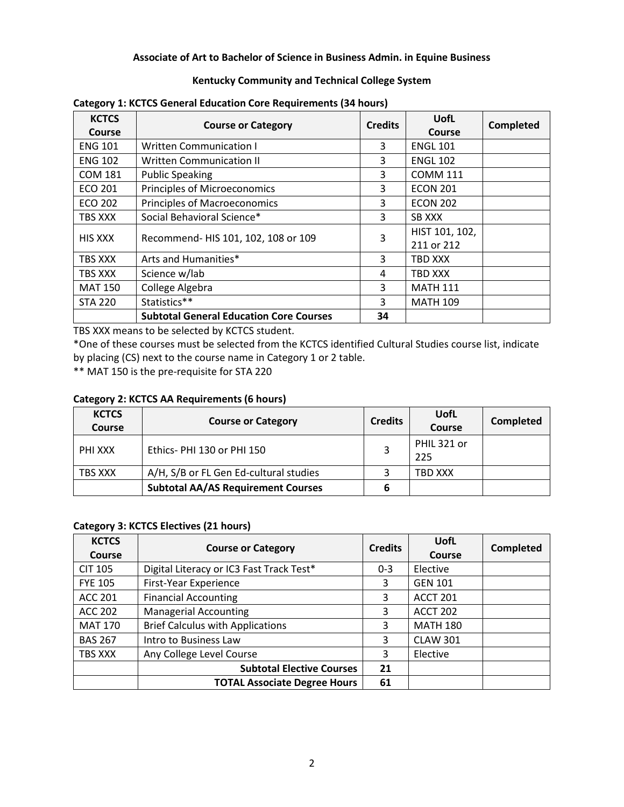#### **Associate of Art to Bachelor of Science in Business Admin. in Equine Business**

#### **Kentucky Community and Technical College System**

| <b>KCTCS</b><br>Course | <b>Course or Category</b>                      | <b>Credits</b> | UofL<br>Course               | Completed |
|------------------------|------------------------------------------------|----------------|------------------------------|-----------|
| <b>ENG 101</b>         | <b>Written Communication I</b>                 | 3              | <b>ENGL 101</b>              |           |
| <b>ENG 102</b>         | <b>Written Communication II</b>                | 3              | <b>ENGL 102</b>              |           |
| <b>COM 181</b>         | <b>Public Speaking</b>                         | 3              | <b>COMM 111</b>              |           |
| <b>ECO 201</b>         | Principles of Microeconomics                   | 3              | <b>ECON 201</b>              |           |
| ECO 202                | <b>Principles of Macroeconomics</b>            | 3              | <b>ECON 202</b>              |           |
| TBS XXX                | Social Behavioral Science*                     | 3              | <b>SB XXX</b>                |           |
| <b>HIS XXX</b>         | Recommend- HIS 101, 102, 108 or 109            | 3              | HIST 101, 102,<br>211 or 212 |           |
| TBS XXX                | Arts and Humanities*                           | 3              | TBD XXX                      |           |
| TBS XXX                | Science w/lab                                  | 4              | TBD XXX                      |           |
| <b>MAT 150</b>         | College Algebra                                | 3              | <b>MATH 111</b>              |           |
| <b>STA 220</b>         | Statistics**                                   | 3              | <b>MATH 109</b>              |           |
|                        | <b>Subtotal General Education Core Courses</b> | 34             |                              |           |

**Category 1: KCTCS General Education Core Requirements (34 hours)**

TBS XXX means to be selected by KCTCS student.

\*One of these courses must be selected from the KCTCS identified Cultural Studies course list, indicate by placing (CS) next to the course name in Category 1 or 2 table.

\*\* MAT 150 is the pre-requisite for STA 220

#### **Category 2: KCTCS AA Requirements (6 hours)**

| <b>KCTCS</b><br>Course | <b>Course or Category</b>                 | <b>Credits</b> | UofL<br><b>Course</b> | Completed |
|------------------------|-------------------------------------------|----------------|-----------------------|-----------|
| PHI XXX                | Ethics-PHI 130 or PHI 150                 |                | PHIL 321 or<br>225    |           |
| TBS XXX                | A/H, S/B or FL Gen Ed-cultural studies    |                | TBD XXX               |           |
|                        | <b>Subtotal AA/AS Requirement Courses</b> |                |                       |           |

#### **Category 3: KCTCS Electives (21 hours)**

| <b>KCTCS</b><br><b>Course</b> | <b>Course or Category</b>                | <b>Credits</b> | UofL<br>Course  | <b>Completed</b> |
|-------------------------------|------------------------------------------|----------------|-----------------|------------------|
| <b>CIT 105</b>                | Digital Literacy or IC3 Fast Track Test* | $0 - 3$        | Elective        |                  |
| <b>FYE 105</b>                | First-Year Experience                    | 3              | <b>GEN 101</b>  |                  |
| <b>ACC 201</b>                | <b>Financial Accounting</b>              | 3              | <b>ACCT 201</b> |                  |
| <b>ACC 202</b>                | <b>Managerial Accounting</b>             | 3              | <b>ACCT 202</b> |                  |
| <b>MAT 170</b>                | <b>Brief Calculus with Applications</b>  | 3              | <b>MATH 180</b> |                  |
| <b>BAS 267</b>                | Intro to Business Law                    | 3              | <b>CLAW 301</b> |                  |
| TBS XXX                       | Any College Level Course                 | 3              | Elective        |                  |
|                               | <b>Subtotal Elective Courses</b>         | 21             |                 |                  |
|                               | <b>TOTAL Associate Degree Hours</b>      | 61             |                 |                  |